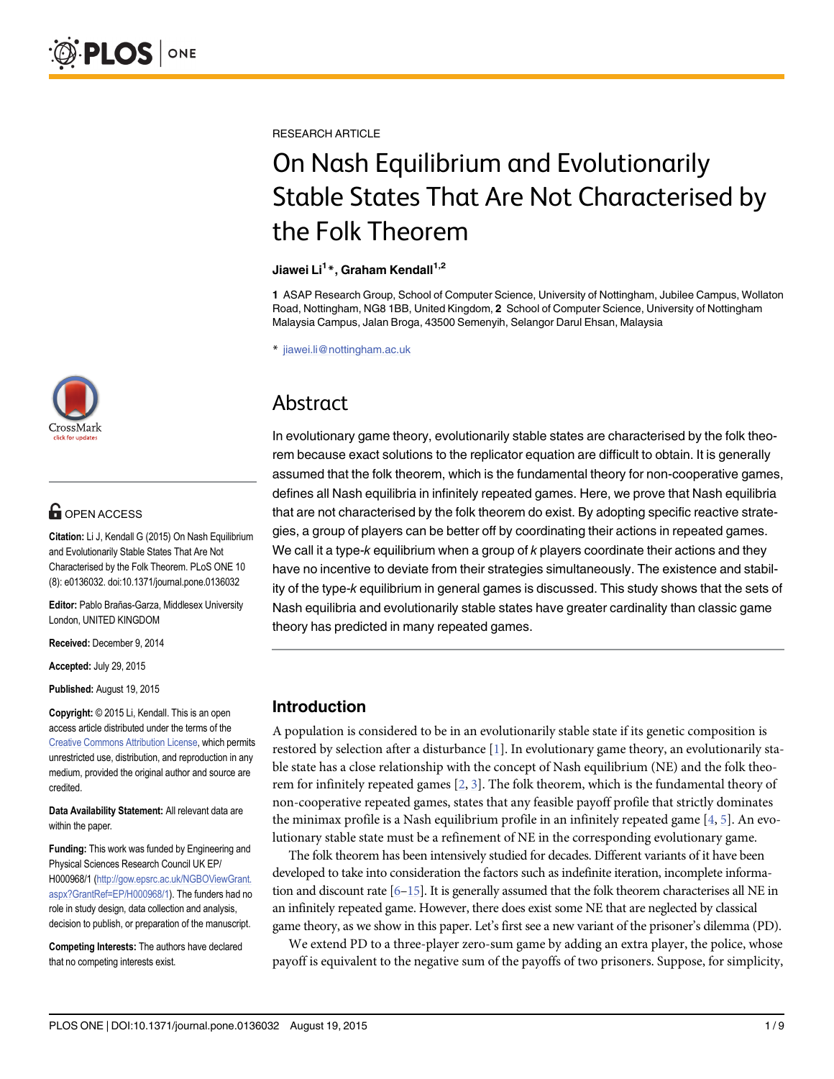

## **OPEN ACCESS**

Citation: Li J, Kendall G (2015) On Nash Equilibrium and Evolutionarily Stable States That Are Not Characterised by the Folk Theorem. PLoS ONE 10 (8): e0136032. doi:10.1371/journal.pone.0136032

Editor: Pablo Brañas-Garza, Middlesex University London, UNITED KINGDOM

Received: December 9, 2014

Accepted: July 29, 2015

Published: August 19, 2015

Copyright: © 2015 Li, Kendall. This is an open access article distributed under the terms of the [Creative Commons Attribution License,](http://creativecommons.org/licenses/by/4.0/) which permits unrestricted use, distribution, and reproduction in any medium, provided the original author and source are credited.

Data Availability Statement: All relevant data are within the paper.

Funding: This work was funded by Engineering and Physical Sciences Research Council UK EP/ H000968/1 [\(http://gow.epsrc.ac.uk/NGBOViewGrant.](http://gow.epsrc.ac.uk/NGBOViewGrant.aspx?GrantRef=EP/H000968/1) [aspx?GrantRef=EP/H000968/1](http://gow.epsrc.ac.uk/NGBOViewGrant.aspx?GrantRef=EP/H000968/1)). The funders had no role in study design, data collection and analysis, decision to publish, or preparation of the manuscript.

Competing Interests: The authors have declared that no competing interests exist.

<span id="page-0-0"></span>RESEARCH ARTICLE

# On Nash Equilibrium and Evolutionarily Stable States That Are Not Characterised by the Folk Theorem

#### Jiawei Li<sup>1</sup>\*, Graham Kendall<sup>1,2</sup>

1 ASAP Research Group, School of Computer Science, University of Nottingham, Jubilee Campus, Wollaton Road, Nottingham, NG8 1BB, United Kingdom, 2 School of Computer Science, University of Nottingham Malaysia Campus, Jalan Broga, 43500 Semenyih, Selangor Darul Ehsan, Malaysia

\* jiawei.li@nottingham.ac.uk

# Abstract

In evolutionary game theory, evolutionarily stable states are characterised by the folk theorem because exact solutions to the replicator equation are difficult to obtain. It is generally assumed that the folk theorem, which is the fundamental theory for non-cooperative games, defines all Nash equilibria in infinitely repeated games. Here, we prove that Nash equilibria that are not characterised by the folk theorem do exist. By adopting specific reactive strategies, a group of players can be better off by coordinating their actions in repeated games. We call it a type- $k$  equilibrium when a group of  $k$  players coordinate their actions and they have no incentive to deviate from their strategies simultaneously. The existence and stability of the type-k equilibrium in general games is discussed. This study shows that the sets of Nash equilibria and evolutionarily stable states have greater cardinality than classic game theory has predicted in many repeated games.

## Introduction

A population is considered to be in an evolutionarily stable state if its genetic composition is restored by selection after a disturbance  $[1]$  $[1]$ . In evolutionary game theory, an evolutionarily stable state has a close relationship with the concept of Nash equilibrium (NE) and the folk theorem for infinitely repeated games  $[2, 3]$  $[2, 3]$  $[2, 3]$  $[2, 3]$ . The folk theorem, which is the fundamental theory of non-cooperative repeated games, states that any feasible payoff profile that strictly dominates the minimax profile is a Nash equilibrium profile in an infinitely repeated game  $[4, 5]$  $[4, 5]$  $[4, 5]$  $[4, 5]$ . An evolutionary stable state must be a refinement of NE in the corresponding evolutionary game.

The folk theorem has been intensively studied for decades. Different variants of it have been developed to take into consideration the factors such as indefinite iteration, incomplete information and discount rate  $[6-15]$  $[6-15]$  $[6-15]$  $[6-15]$ . It is generally assumed that the folk theorem characterises all NE in an infinitely repeated game. However, there does exist some NE that are neglected by classical game theory, as we show in this paper. Let's first see a new variant of the prisoner's dilemma (PD).

We extend PD to a three-player zero-sum game by adding an extra player, the police, whose payoff is equivalent to the negative sum of the payoffs of two prisoners. Suppose, for simplicity,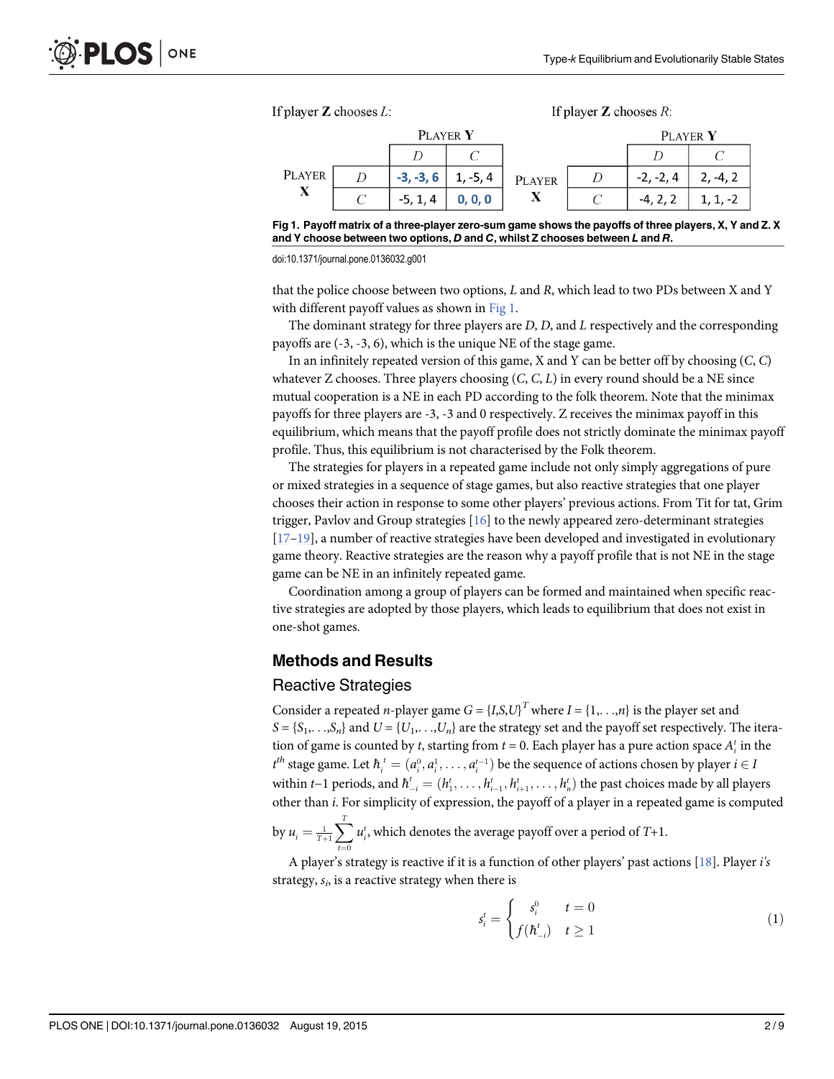<span id="page-1-0"></span>



doi:10.1371/journal.pone.0136032.g001

that the police choose between two options, L and R, which lead to two PDs between X and Y with different payoff values as shown in  $Fig 1$ .

The dominant strategy for three players are  $D$ ,  $D$ , and  $L$  respectively and the corresponding payoffs are (-3, -3, 6), which is the unique NE of the stage game.

In an infinitely repeated version of this game, X and Y can be better off by choosing  $(C, C)$ whatever Z chooses. Three players choosing  $(C, C, L)$  in every round should be a NE since mutual cooperation is a NE in each PD according to the folk theorem. Note that the minimax payoffs for three players are -3, -3 and 0 respectively. Z receives the minimax payoff in this equilibrium, which means that the payoff profile does not strictly dominate the minimax payoff profile. Thus, this equilibrium is not characterised by the Folk theorem.

The strategies for players in a repeated game include not only simply aggregations of pure or mixed strategies in a sequence of stage games, but also reactive strategies that one player chooses their action in response to some other players' previous actions. From Tit for tat, Grim trigger, Pavlov and Group strategies [[16](#page-7-0)] to the newly appeared zero-determinant strategies  $[17–19]$  $[17–19]$  $[17–19]$ , a number of reactive strategies have been developed and investigated in evolutionary game theory. Reactive strategies are the reason why a payoff profile that is not NE in the stage game can be NE in an infinitely repeated game.

Coordination among a group of players can be formed and maintained when specific reactive strategies are adopted by those players, which leads to equilibrium that does not exist in one-shot games.

#### Methods and Results

#### Reactive Strategies

Consider a repeated *n*-player game  $G = \{I, S, U\}^T$  where  $I = \{1, \ldots, n\}$  is the player set and  $S = \{S_1, \ldots, S_n\}$  and  $U = \{U_1, \ldots, U_n\}$  are the strategy set and the payoff set respectively. The iteration of game is counted by t, starting from  $t = 0$ . Each player has a pure action space  $A_i^t$  in the  $t^{\text{th}}$  stage game. Let  $\hbar_i^t = (a_i^0, a_i^1, \dots, a_i^{t-1})$  be the sequence of actions chosen by player  $i \in I$ within t−1 periods, and  $\hbar_{-i}^t = (h_1^t, \ldots, h_{i-1}^t, h_{i+1}^t, \ldots, h_n^t)$  the past choices made by all players other than *i*. For simplicity of expression, the payoff of a player in a repeated game is computed

by  $u_i = \frac{1}{T+1}$  $\sum_{T}$  $t=0$  $u_i^t$ , which denotes the average payoff over a period of  $T+1$ .

A player's strategy is reactive if it is a function of other players' past actions [\[18\]](#page-7-0). Player i's strategy,  $s_i$ , is a reactive strategy when there is

$$
s_i^t = \begin{cases} s_i^0 & t = 0\\ f(h_{-i}^t) & t \ge 1 \end{cases} \tag{1}
$$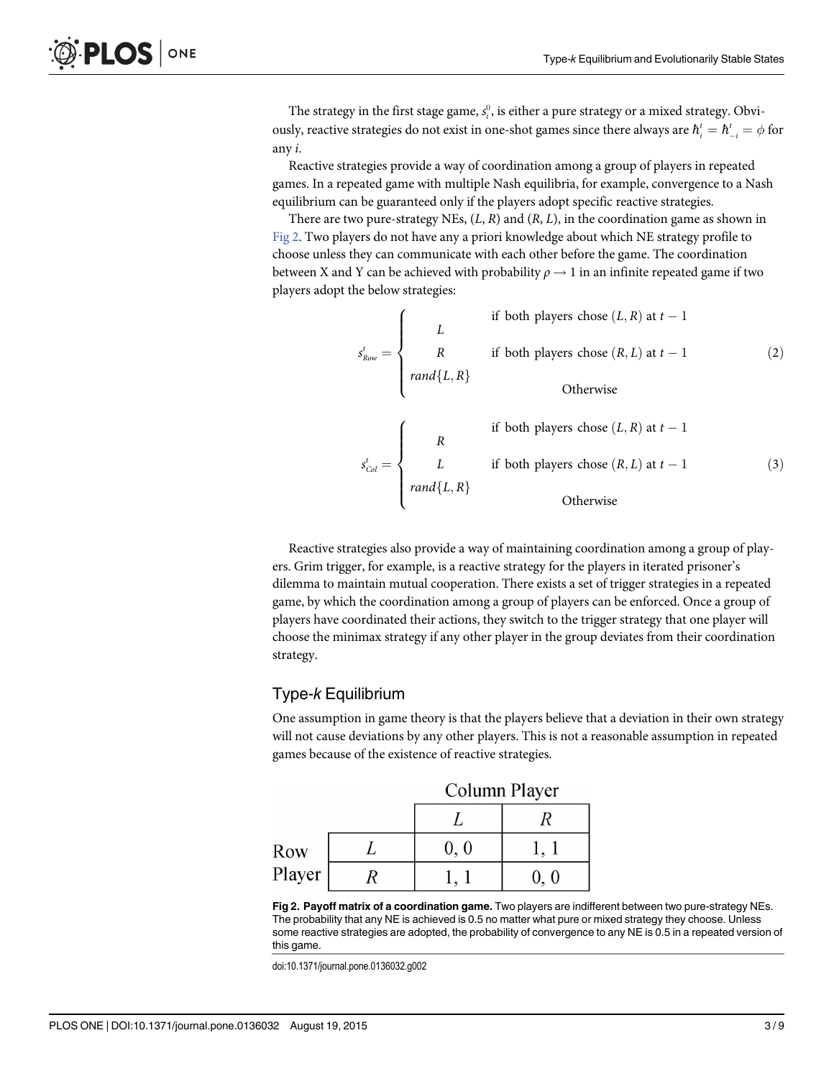<span id="page-2-0"></span>The strategy in the first stage game,  $s_i^0$ , is either a pure strategy or a mixed strategy. Obviously, reactive strategies do not exist in one-shot games since there always are  $\hbar_i^t = \hbar_{-i}^t = \phi$  for any i.

Reactive strategies provide a way of coordination among a group of players in repeated games. In a repeated game with multiple Nash equilibria, for example, convergence to a Nash equilibrium can be guaranteed only if the players adopt specific reactive strategies.

There are two pure-strategy NEs,  $(L, R)$  and  $(R, L)$ , in the coordination game as shown in Fig 2. Two players do not have any a priori knowledge about which NE strategy profile to choose unless they can communicate with each other before the game. The coordination between X and Y can be achieved with probability  $\rho \rightarrow 1$  in an infinite repeated game if two players adopt the below strategies:

> $s^t_{Row} =$ L R  $rand\{L, R\}$ if both players chose  $(L, R)$  at  $t - 1$ if both players chose  $(R, L)$  at  $t - 1$ Otherwise  $(2)$  $\sqrt{ }$  $\Big\}$  $\vert$ R if both players chose  $(L, R)$  at  $t - 1$  $\sqrt{2}$

> $s_{Col}^t =$ L  $rand\{L, R\}$ if both players chose  $(R, L)$  at  $t - 1$ Otherwise  $(3)$  $\Big\}$  $\vert$

Reactive strategies also provide a way of maintaining coordination among a group of players. Grim trigger, for example, is a reactive strategy for the players in iterated prisoner's dilemma to maintain mutual cooperation. There exists a set of trigger strategies in a repeated game, by which the coordination among a group of players can be enforced. Once a group of players have coordinated their actions, they switch to the trigger strategy that one player will choose the minimax strategy if any other player in the group deviates from their coordination strategy.

## Type-k Equilibrium

One assumption in game theory is that the players believe that a deviation in their own strategy will not cause deviations by any other players. This is not a reasonable assumption in repeated games because of the existence of reactive strategies.

|               | Column Player |  |
|---------------|---------------|--|
|               |               |  |
| Row<br>Player | 0, 0          |  |
|               |               |  |

Fig 2. Payoff matrix of a coordination game. Two players are indifferent between two pure-strategy NEs. The probability that any NE is achieved is 0.5 no matter what pure or mixed strategy they choose. Unless some reactive strategies are adopted, the probability of convergence to any NE is 0.5 in a repeated version of this game.

doi:10.1371/journal.pone.0136032.g002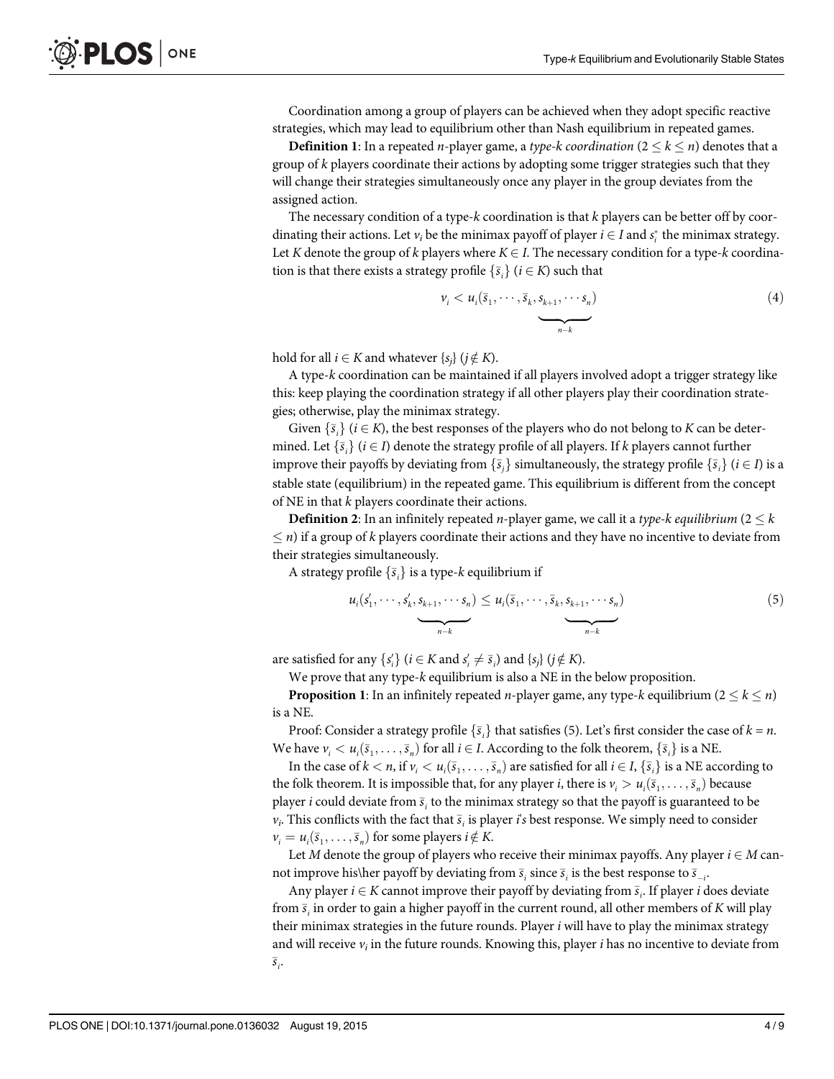Coordination among a group of players can be achieved when they adopt specific reactive strategies, which may lead to equilibrium other than Nash equilibrium in repeated games.

**Definition 1:** In a repeated *n*-player game, a *type-k coordination* ( $2 \leq k \leq n$ ) denotes that a group of k players coordinate their actions by adopting some trigger strategies such that they will change their strategies simultaneously once any player in the group deviates from the assigned action.

The necessary condition of a type- $k$  coordination is that  $k$  players can be better off by coordinating their actions. Let  $v_i$  be the minimax payoff of player  $i \in I$  and  $s_i^*$  the minimax strategy. Let K denote the group of k players where  $K \in I$ . The necessary condition for a type-k coordination is that there exists a strategy profile  $\{\bar{s}_i\}$   $(i \in K)$  such that

$$
\nu_i < u_i(\bar{s}_1, \cdots, \bar{s}_k, \underbrace{s_{k+1}, \cdots s_n}_{n-k}) \tag{4}
$$

hold for all  $i \in K$  and whatever  $\{s_i\}$  ( $j \notin K$ ).

A type-k coordination can be maintained if all players involved adopt a trigger strategy like this: keep playing the coordination strategy if all other players play their coordination strategies; otherwise, play the minimax strategy.

Given  $\{\bar{s}_i\}$   $(i \in K)$ , the best responses of the players who do not belong to K can be deter-<br>and Let  $\{\bar{s}\}\ (i \in L)$  denote the strategy profile of all players. If k players cannot further mined. Let  $\{\bar{s}_i\}$   $(i \in I)$  denote the strategy profile of all players. If k players cannot further<br>improve their peveffe by deviating from  $\{\bar{s}\}\$  simultaneously, the strategy profile  $\{\bar{s}\}\$  (i.e. improve their payoffs by deviating from  $\{\bar{s}_i\}$  simultaneously, the strategy profile  $\{\bar{s}_i\}$   $(i \in I)$  is a stable state (equilibrium) in the repeated game. This equilibrium is different from the concept of NE in that  $k$  players coordinate their actions.

**Definition 2:** In an infinitely repeated *n*-player game, we call it a type-k equilibrium ( $2 \leq k$ )  $\leq$  n) if a group of k players coordinate their actions and they have no incentive to deviate from their strategies simultaneously.

A strategy profile  $\{\bar{s}_i\}$  is a type- $k$  equilibrium if

$$
u_i(s'_1,\dots,s'_k,\underbrace{s_{k+1},\dots,s_n}_{n-k}) \leq u_i(\overline{s}_1,\dots,\overline{s}_k,\underbrace{s_{k+1},\dots,s_n}_{n-k})
$$
\n
$$
(5)
$$

are satisfied for any  $\{s'_i\}$  ( $i \in K$  and  $s'_i \neq \overline{s}_i$ ) and  $\{s_j\}$  ( $j \notin K$ ).<br>We prove that any time k equilibrium is also a NE in the

We prove that any type-k equilibrium is also a NE in the below proposition.

**Proposition 1:** In an infinitely repeated *n*-player game, any type-k equilibrium ( $2 \leq k \leq n$ ) is a NE.

Proof: Consider a strategy profile  $\{\bar{s}_i\}$  that satisfies (5). Let's first consider the case of  $k = n$ . We have  $v_i < u_i(\bar{s}_1, \ldots, \bar{s}_n)$  for all  $i \in I$ . According to the folk theorem,  $\{\bar{s}_i\}$  is a NE.<br>In the gase of  $k < u_i(\bar{s}_1, \ldots, \bar{s}_n)$  are estimated for all  $i \in I$ ,  $[\bar{s}_i]$  is a NE associated

In the case of  $k < n$ , if  $v_i < u_i(\bar{s}_1, \dots, \bar{s}_n)$  are satisfied for all  $i \in I$ ,  $\{\bar{s}_i\}$  is a NE according to folls theorem. It is impossible that for any player i there is  $u > u(\bar{s} - \bar{s})$  because the folk theorem. It is impossible that, for any player *i*, there is  $v_i > u_i(\bar{s}_1, \ldots, \bar{s}_n)$  because player *i* could deviate from  $\bar{s}_i$  to the minimax strategy so that the payoff is guaranteed to be  $v_i$ . This conflicts with the fact that  $\bar{s}_i$  is player *i's* best response. We simply need to consider  $v_i = u_i(\bar{s}_1, \dots, \bar{s}_n)$  for some players  $i \notin K$ .<br>Let M denote the group of players who

Let M denote the group of players who receive their minimax payoffs. Any player  $i \in M$  cannot improve his\her payoff by deviating from  $\bar{s}_i$  since  $\bar{s}_i$  is the best response to  $\bar{s}_{-i}$ .

Any player  $i \in K$  cannot improve their payoff by deviating from  $\overline{s}_i$ . If player  $i$  does deviate from  $\bar{s}_i$  in order to gain a higher payoff in the current round, all other members of K will play their minimax strategies in the future rounds. Player  $i$  will have to play the minimax strategy and will receive  $v_i$  in the future rounds. Knowing this, player *i* has no incentive to deviate from  $\overline{s}_{i}$ .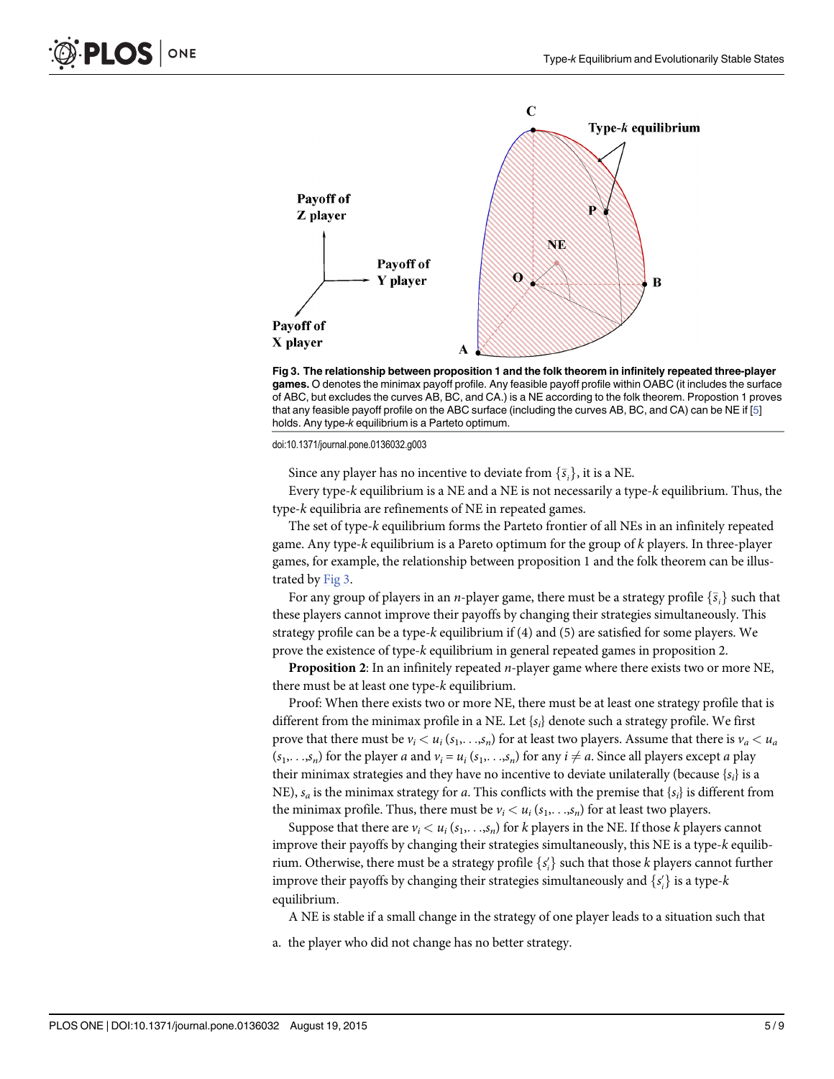

Fig 3. The relationship between proposition 1 and the folk theorem in infinitely repeated three-player games. O denotes the minimax payoff profile. Any feasible payoff profile within OABC (it includes the surface of ABC, but excludes the curves AB, BC, and CA.) is a NE according to the folk theorem. Propostion 1 proves that any feasible payoff profile on the ABC surface (including the curves AB, BC, and CA) can be NE if [\[5](#page-7-0)] holds. Any type-k equilibrium is a Parteto optimum.

doi:10.1371/journal.pone.0136032.g003

Since any player has no incentive to deviate from  $\{\bar{s}_i\}$ , it is a NE.<br>Every time k equilibrium is a NE and a NE is not necessarily a ty

Every type-k equilibrium is a NE and a NE is not necessarily a type-k equilibrium. Thus, the type-k equilibria are refinements of NE in repeated games.

The set of type-k equilibrium forms the Parteto frontier of all NEs in an infinitely repeated game. Any type-k equilibrium is a Pareto optimum for the group of k players. In three-player games, for example, the relationship between proposition 1 and the folk theorem can be illustrated by Fig 3.

For any group of players in an *n*-player game, there must be a strategy profile  $\{\bar{s}_i\}$  such that these players cannot improve their payoffs by changing their strategies simultaneously. This strategy profile can be a type-k equilibrium if (4) and (5) are satisfied for some players. We prove the existence of type-k equilibrium in general repeated games in proposition 2.

**Proposition 2:** In an infinitely repeated  $n$ -player game where there exists two or more NE, there must be at least one type-k equilibrium.

Proof: When there exists two or more NE, there must be at least one strategy profile that is different from the minimax profile in a NE. Let  $\{s_i\}$  denote such a strategy profile. We first prove that there must be  $v_i < u_i$  ( $s_1, \ldots, s_n$ ) for at least two players. Assume that there is  $v_a < u_a$  $(s_1,...,s_n)$  for the player a and  $v_i = u_i(s_1,...,s_n)$  for any  $i \neq a$ . Since all players except a play their minimax strategies and they have no incentive to deviate unilaterally (because  $\{s_i\}$  is a NE),  $s_a$  is the minimax strategy for a. This conflicts with the premise that  $\{s_i\}$  is different from the minimax profile. Thus, there must be  $v_i < u_i$  ( $s_1, \ldots, s_n$ ) for at least two players.

Suppose that there are  $v_i < u_i$  ( $s_1, \ldots, s_n$ ) for k players in the NE. If those k players cannot improve their payoffs by changing their strategies simultaneously, this NE is a type-k equilibrium. Otherwise, there must be a strategy profile  $\{s_i'\}$  such that those k players cannot further improve their payoffs by changing their strategies simultaneously and  $\{s'_i\}$  is a type- $k$ equilibrium.

A NE is stable if a small change in the strategy of one player leads to a situation such that

a. the player who did not change has no better strategy.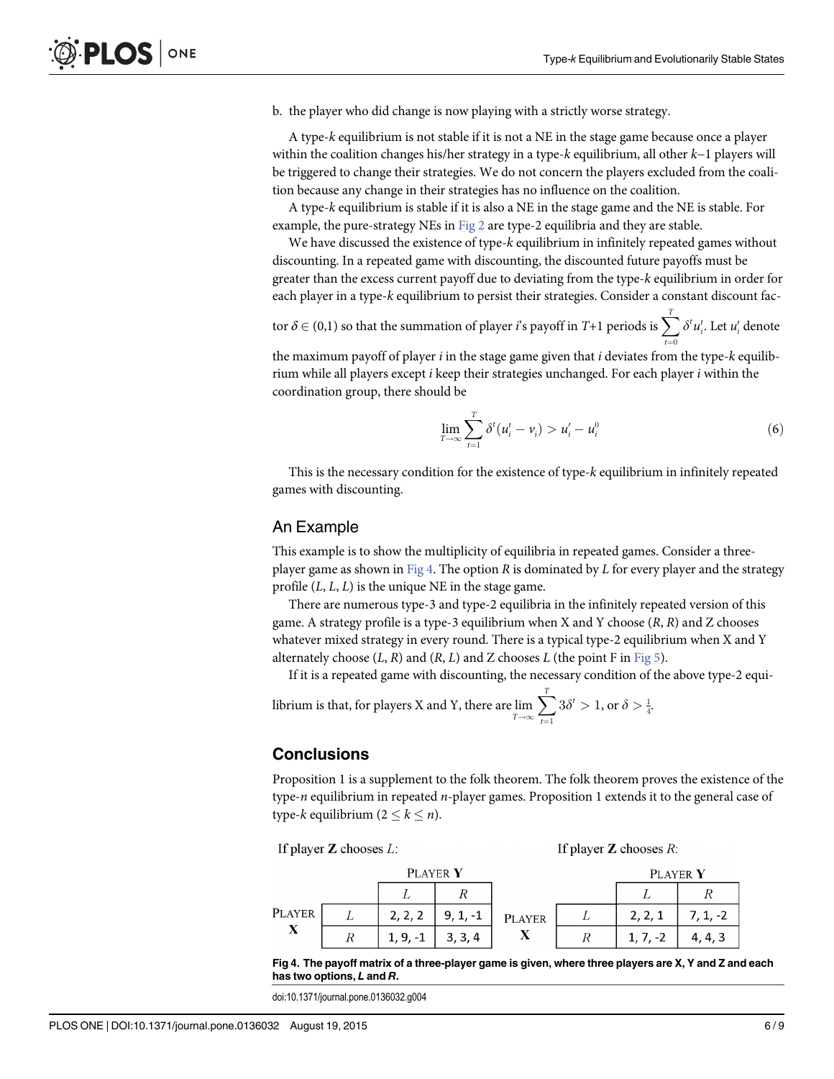<span id="page-5-0"></span>b. the player who did change is now playing with a strictly worse strategy.

A type-k equilibrium is not stable if it is not a NE in the stage game because once a player within the coalition changes his/her strategy in a type-k equilibrium, all other k−1 players will be triggered to change their strategies. We do not concern the players excluded from the coalition because any change in their strategies has no influence on the coalition.

A type-k equilibrium is stable if it is also a NE in the stage game and the NE is stable. For example, the pure-strategy NEs in  $Fig 2$  are type-2 equilibria and they are stable.

We have discussed the existence of type-k equilibrium in infinitely repeated games without discounting. In a repeated game with discounting, the discounted future payoffs must be greater than the excess current payoff due to deviating from the type-k equilibrium in order for each player in a type-k equilibrium to persist their strategies. Consider a constant discount fac-

tor  $\delta \in (0,1)$  so that the summation of player  $i$ 's payoff in T+1 periods is  $\sum_{t=0}^T \delta^t u_i^t$ . Let  $u_i'$  denote the maximum payoff of player  $i$  in the stage game given that  $i$  deviates from the type- $k$  equilib-

rium while all players except  $i$  keep their strategies unchanged. For each player  $i$  within the coordination group, there should be

$$
\lim_{T \to \infty} \sum_{i=1}^{T} \delta^{t} (u_{i}^{t} - v_{i}) > u_{i}^{'} - u_{i}^{0}
$$
\n(6)

This is the necessary condition for the existence of type-k equilibrium in infinitely repeated games with discounting.

#### An Example

This example is to show the multiplicity of equilibria in repeated games. Consider a threeplayer game as shown in Fig 4. The option  $R$  is dominated by  $L$  for every player and the strategy profile  $(L, L, L)$  is the unique NE in the stage game.

There are numerous type-3 and type-2 equilibria in the infinitely repeated version of this game. A strategy profile is a type-3 equilibrium when X and Y choose  $(R, R)$  and Z chooses whatever mixed strategy in every round. There is a typical type-2 equilibrium when X and Y alternately choose  $(L, R)$  and  $(R, L)$  and Z chooses L (the point F in [Fig 5\)](#page-6-0).

If it is a repeated game with discounting, the necessary condition of the above type-2 equi-

librium is that, for players X and Y, there are lim<br> $\lim_{T \to \infty}$  $\sum_{i=1}^T$  $t=1$  $3\delta^t > 1$ , or  $\delta > \frac{1}{4}$ .

#### Conclusions

Proposition 1 is a supplement to the folk theorem. The folk theorem proves the existence of the type- $n$  equilibrium in repeated  $n$ -player games. Proposition 1 extends it to the general case of type-k equilibrium  $(2 \leq k \leq n)$ .



Fig 4. The payoff matrix of a three-player game is given, where three players are X, Y and Z and each has two options, L and R.

doi:10.1371/journal.pone.0136032.g004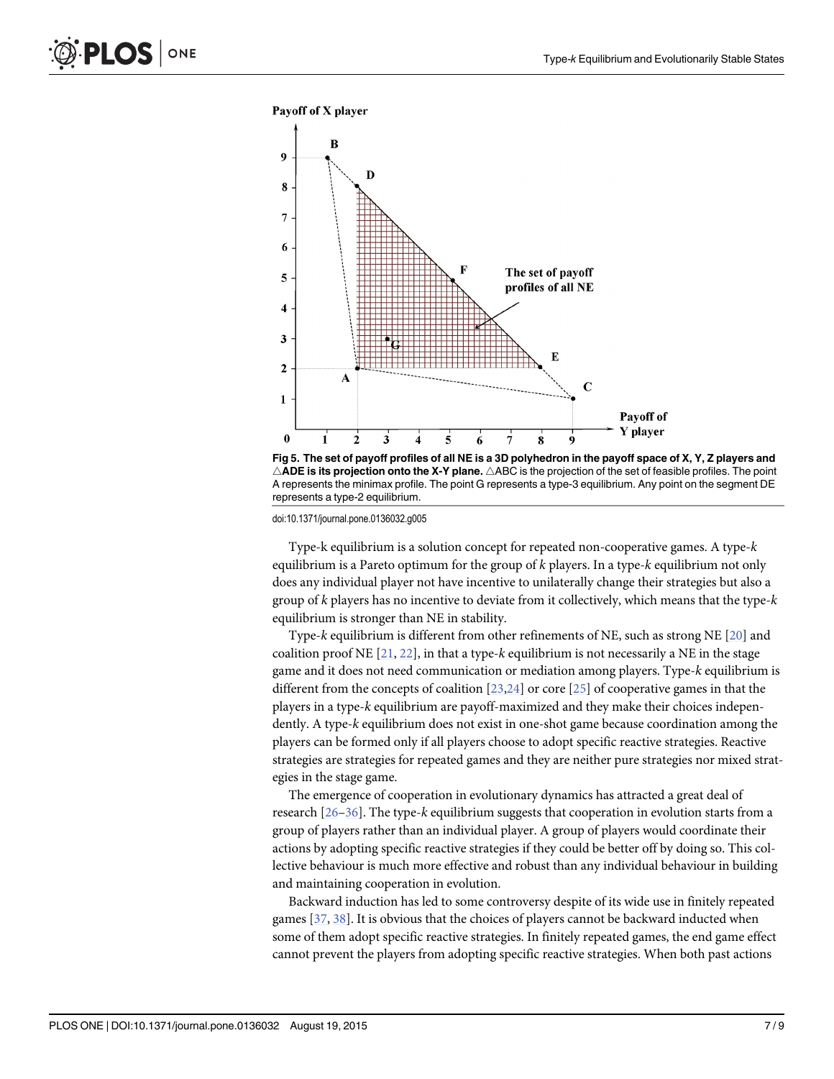<span id="page-6-0"></span>

[Fig 5. T](#page-5-0)he set of payoff profiles of all NE is a 3D polyhedron in the payoff space of X, Y, Z players and  $\triangle$ ADE is its projection onto the X-Y plane.  $\triangle$ ABC is the projection of the set of feasible profiles. The point A represents the minimax profile. The point G represents a type-3 equilibrium. Any point on the segment DE represents a type-2 equilibrium.

doi:10.1371/journal.pone.0136032.g005

Type-k equilibrium is a solution concept for repeated non-cooperative games. A type-k equilibrium is a Pareto optimum for the group of  $k$  players. In a type- $k$  equilibrium not only does any individual player not have incentive to unilaterally change their strategies but also a group of k players has no incentive to deviate from it collectively, which means that the type-k equilibrium is stronger than NE in stability.

Type-k equilibrium is different from other refinements of NE, such as strong NE  $[20]$  $[20]$  $[20]$  and coalition proof NE  $[21, 22]$  $[21, 22]$  $[21, 22]$  $[21, 22]$  $[21, 22]$ , in that a type-k equilibrium is not necessarily a NE in the stage game and it does not need communication or mediation among players. Type-k equilibrium is different from the concepts of coalition  $[23,24]$  or core  $[25]$  $[25]$  of cooperative games in that the players in a type-k equilibrium are payoff-maximized and they make their choices independently. A type-k equilibrium does not exist in one-shot game because coordination among the players can be formed only if all players choose to adopt specific reactive strategies. Reactive strategies are strategies for repeated games and they are neither pure strategies nor mixed strategies in the stage game.

The emergence of cooperation in evolutionary dynamics has attracted a great deal of research  $[26–36]$  $[26–36]$  $[26–36]$  $[26–36]$  $[26–36]$ . The type-k equilibrium suggests that cooperation in evolution starts from a group of players rather than an individual player. A group of players would coordinate their actions by adopting specific reactive strategies if they could be better off by doing so. This collective behaviour is much more effective and robust than any individual behaviour in building and maintaining cooperation in evolution.

Backward induction has led to some controversy despite of its wide use in finitely repeated games [[37](#page-8-0), [38](#page-8-0)]. It is obvious that the choices of players cannot be backward inducted when some of them adopt specific reactive strategies. In finitely repeated games, the end game effect cannot prevent the players from adopting specific reactive strategies. When both past actions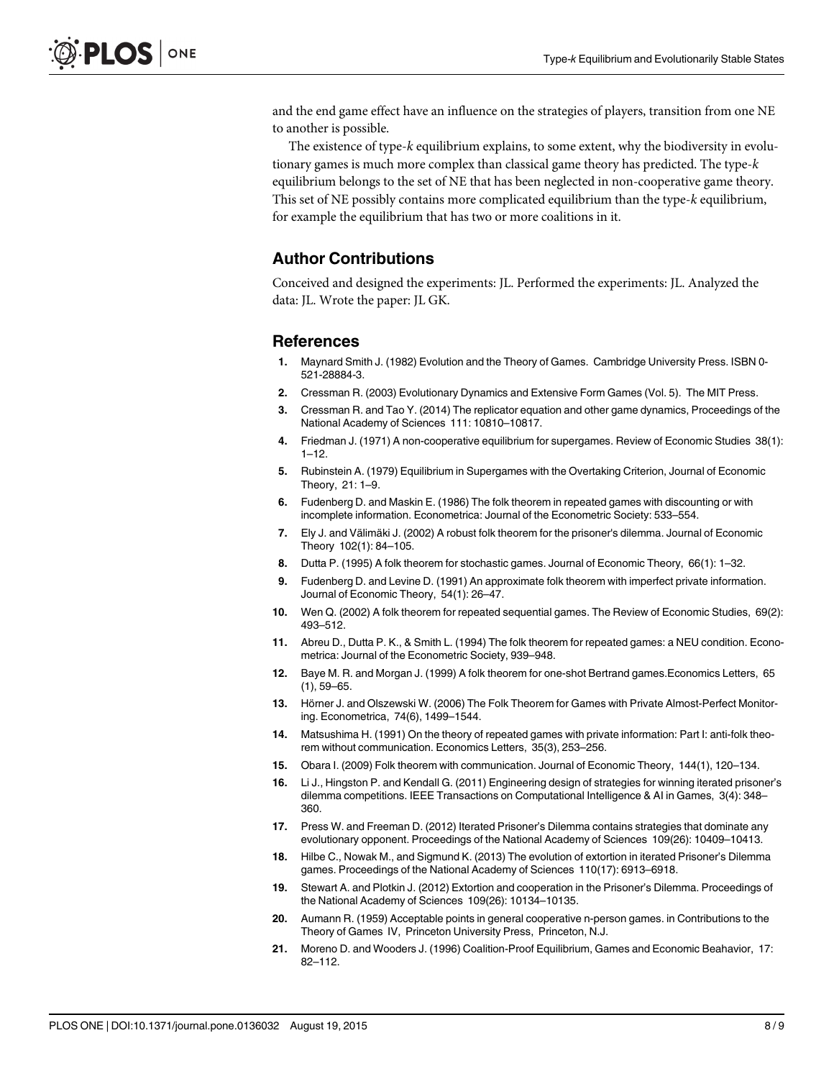<span id="page-7-0"></span>and the end game effect have an influence on the strategies of players, transition from one NE to another is possible.

The existence of type-k equilibrium explains, to some extent, why the biodiversity in evolutionary games is much more complex than classical game theory has predicted. The type-k equilibrium belongs to the set of NE that has been neglected in non-cooperative game theory. This set of NE possibly contains more complicated equilibrium than the type-k equilibrium, for example the equilibrium that has two or more coalitions in it.

#### Author Contributions

Conceived and designed the experiments: JL. Performed the experiments: JL. Analyzed the data: JL. Wrote the paper: JL GK.

#### References

- [1.](#page-0-0) Maynard Smith J. (1982) Evolution and the Theory of Games. Cambridge University Press. ISBN 0- 521-28884-3.
- [2.](#page-0-0) Cressman R. (2003) Evolutionary Dynamics and Extensive Form Games (Vol. 5). The MIT Press.
- [3.](#page-0-0) Cressman R. and Tao Y. (2014) The replicator equation and other game dynamics, Proceedings of the National Academy of Sciences 111: 10810–10817.
- [4.](#page-0-0) Friedman J. (1971) A non-cooperative equilibrium for supergames. Review of Economic Studies 38(1):  $1 - 12$ .
- [5.](#page-0-0) Rubinstein A. (1979) Equilibrium in Supergames with the Overtaking Criterion, Journal of Economic Theory, 21: 1–9.
- [6.](#page-0-0) Fudenberg D. and Maskin E. (1986) The folk theorem in repeated games with discounting or with incomplete information. Econometrica: Journal of the Econometric Society: 533–554.
- 7. Ely J. and Välimäki J. (2002) A robust folk theorem for the prisoner's dilemma. Journal of Economic Theory 102(1): 84–105.
- 8. Dutta P. (1995) A folk theorem for stochastic games. Journal of Economic Theory, 66(1): 1–32.
- 9. Fudenberg D. and Levine D. (1991) An approximate folk theorem with imperfect private information. Journal of Economic Theory, 54(1): 26–47.
- 10. Wen Q. (2002) A folk theorem for repeated sequential games. The Review of Economic Studies, 69(2): 493–512.
- 11. Abreu D., Dutta P. K., & Smith L. (1994) The folk theorem for repeated games: a NEU condition. Econometrica: Journal of the Econometric Society, 939–948.
- 12. Baye M. R. and Morgan J. (1999) A folk theorem for one-shot Bertrand games.Economics Letters, 65 (1), 59–65.
- 13. Hörner J. and Olszewski W. (2006) The Folk Theorem for Games with Private Almost-Perfect Monitoring. Econometrica, 74(6), 1499–1544.
- 14. Matsushima H. (1991) On the theory of repeated games with private information: Part I: anti-folk theorem without communication. Economics Letters, 35(3), 253–256.
- [15.](#page-0-0) Obara I. (2009) Folk theorem with communication. Journal of Economic Theory, 144(1), 120–134.
- [16.](#page-1-0) Li J., Hingston P. and Kendall G. (2011) Engineering design of strategies for winning iterated prisoner's dilemma competitions. IEEE Transactions on Computational Intelligence & AI in Games, 3(4): 348– 360.
- [17.](#page-1-0) Press W. and Freeman D. (2012) Iterated Prisoner's Dilemma contains strategies that dominate any evolutionary opponent. Proceedings of the National Academy of Sciences 109(26): 10409–10413.
- [18.](#page-1-0) Hilbe C., Nowak M., and Sigmund K. (2013) The evolution of extortion in iterated Prisoner's Dilemma games. Proceedings of the National Academy of Sciences 110(17): 6913–6918.
- [19.](#page-1-0) Stewart A. and Plotkin J. (2012) Extortion and cooperation in the Prisoner's Dilemma. Proceedings of the National Academy of Sciences 109(26): 10134–10135.
- [20.](#page-6-0) Aumann R. (1959) Acceptable points in general cooperative n-person games. in Contributions to the Theory of Games IV, Princeton University Press, Princeton, N.J.
- [21.](#page-6-0) Moreno D. and Wooders J. (1996) Coalition-Proof Equilibrium, Games and Economic Beahavior, 17: 82–112.